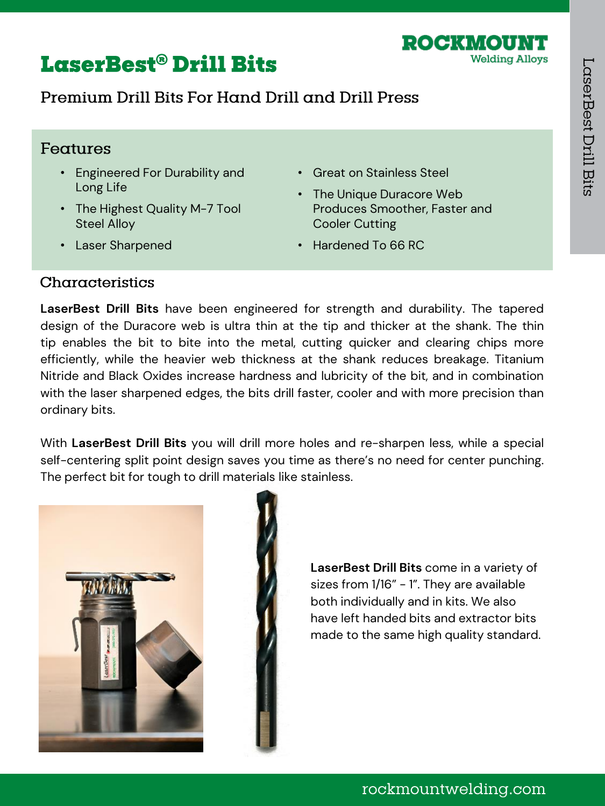## **LaserBest® Drill Bits**

## Premium Drill Rits For Hand Drill and Drill Press

#### Features

- Engineered For Durability and Long Life
- The Highest Quality M-7 Tool Steel Alloy
- Laser Sharpened
- Great on Stainless Steel
- The Unique Duracore Web Produces Smoother, Faster and Cooler Cutting

ROCKWOU

**Welding Alloys** 

• Hardened To 66 RC

#### Characteristics

**LaserBest Drill Bits** have been engineered for strength and durability. The tapered design of the Duracore web is ultra thin at the tip and thicker at the shank. The thin tip enables the bit to bite into the metal, cutting quicker and clearing chips more efficiently, while the heavier web thickness at the shank reduces breakage. Titanium Nitride and Black Oxides increase hardness and lubricity of the bit, and in combination with the laser sharpened edges, the bits drill faster, cooler and with more precision than ordinary bits.

With **LaserBest Drill Bits** you will drill more holes and re-sharpen less, while a special self-centering split point design saves you time as there's no need for center punching. The perfect bit for tough to drill materials like stainless.





**LaserBest Drill Bits** come in a variety of sizes from 1/16" - 1". They are available both individually and in kits. We also have left handed bits and extractor bits made to the same high quality standard.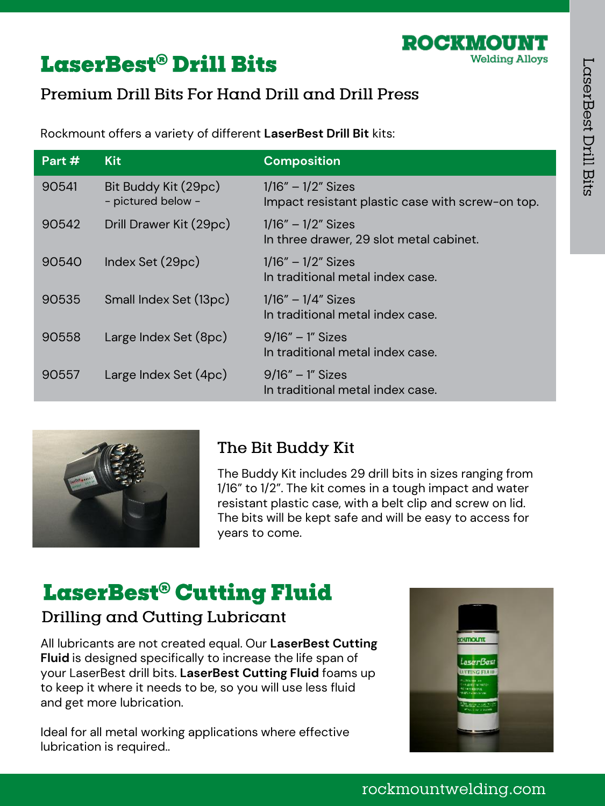ROCKMOUN

**Welding Alloys** 

# **LaserBest® Drill Bits**

## Premium Drill Bits For Hand Drill and Drill Press

Rockmount offers a variety of different **LaserBest Drill Bit** kits:

| Part # | <b>Kit</b>                                 | <b>Composition</b>                                                         |
|--------|--------------------------------------------|----------------------------------------------------------------------------|
| 90541  | Bit Buddy Kit (29pc)<br>- pictured below - | $1/16'' - 1/2''$ Sizes<br>Impact resistant plastic case with screw-on top. |
| 90542  | Drill Drawer Kit (29pc)                    | $1/16'' - 1/2''$ Sizes<br>In three drawer, 29 slot metal cabinet.          |
| 90540  | Index Set (29pc)                           | $1/16'' - 1/2''$ Sizes<br>In traditional metal index case.                 |
| 90535  | Small Index Set (13pc)                     | $1/16'' - 1/4''$ Sizes<br>In traditional metal index case.                 |
| 90558  | Large Index Set (8pc)                      | $9/16" - 1"$ Sizes<br>In traditional metal index case.                     |
| 90557  | Large Index Set (4pc)                      | $9/16" - 1"$ Sizes<br>In traditional metal index case.                     |



## The Bit Buddy Kit

The Buddy Kit includes 29 drill bits in sizes ranging from 1/16" to 1/2". The kit comes in a tough impact and water resistant plastic case, with a belt clip and screw on lid. The bits will be kept safe and will be easy to access for years to come.

# LaserBest® Cutting Fluid

### Drilling and Cutting Lubricant

All lubricants are not created equal. Our **LaserBest Cutting Fluid** is designed specifically to increase the life span of your LaserBest drill bits. **LaserBest Cutting Fluid** foams up to keep it where it needs to be, so you will use less fluid and get more lubrication.

Ideal for all metal working applications where effective lubrication is required..